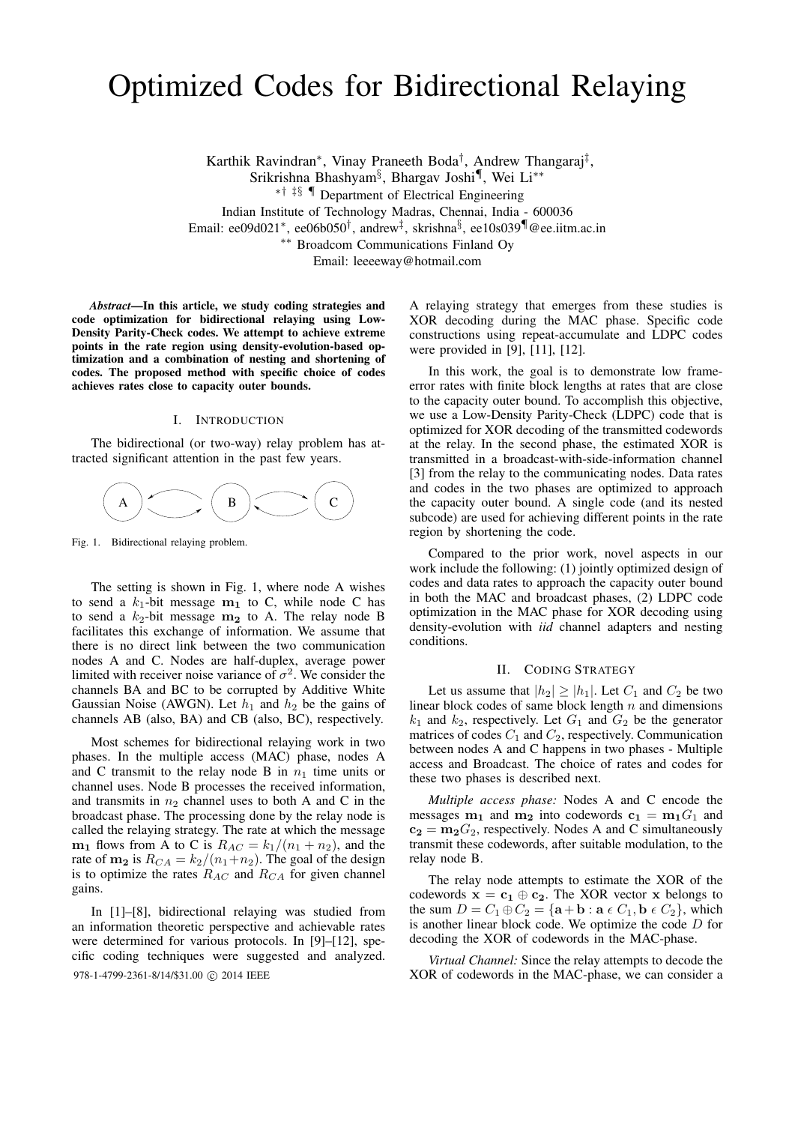# Optimized Codes for Bidirectional Relaying

Karthik Ravindran<sup>∗</sup> , Vinay Praneeth Boda† , Andrew Thangaraj‡ ,

Srikrishna Bhashyam§ , Bhargav Joshi¶ , Wei Li∗∗

∗† ‡§ ¶ Department of Electrical Engineering

Indian Institute of Technology Madras, Chennai, India - 600036

Email: ee09d021<sup>∗</sup> , ee06b050† , andrew‡ , skrishna§ , ee10s039¶@ee.iitm.ac.in

∗∗ Broadcom Communications Finland Oy

Email: leeeeway@hotmail.com

*Abstract*—In this article, we study coding strategies and code optimization for bidirectional relaying using Low-Density Parity-Check codes. We attempt to achieve extreme points in the rate region using density-evolution-based optimization and a combination of nesting and shortening of codes. The proposed method with specific choice of codes achieves rates close to capacity outer bounds.

# I. INTRODUCTION

The bidirectional (or two-way) relay problem has attracted significant attention in the past few years.



Fig. 1. Bidirectional relaying problem.

The setting is shown in Fig. 1, where node A wishes to send a  $k_1$ -bit message  $m_1$  to C, while node C has to send a  $k_2$ -bit message  $m_2$  to A. The relay node B facilitates this exchange of information. We assume that there is no direct link between the two communication nodes A and C. Nodes are half-duplex, average power limited with receiver noise variance of  $\sigma^2$ . We consider the channels BA and BC to be corrupted by Additive White Gaussian Noise (AWGN). Let  $h_1$  and  $h_2$  be the gains of channels AB (also, BA) and CB (also, BC), respectively.

Most schemes for bidirectional relaying work in two phases. In the multiple access (MAC) phase, nodes A and C transmit to the relay node B in  $n_1$  time units or channel uses. Node B processes the received information, and transmits in  $n_2$  channel uses to both A and C in the broadcast phase. The processing done by the relay node is called the relaying strategy. The rate at which the message  $m_1$  flows from A to C is  $R_{AC} = k_1/(n_1 + n_2)$ , and the rate of  $m_2$  is  $R_{CA} = k_2/(n_1+n_2)$ . The goal of the design is to optimize the rates  $R_{AC}$  and  $R_{CA}$  for given channel gains.

In [1]–[8], bidirectional relaying was studied from an information theoretic perspective and achievable rates were determined for various protocols. In [9]–[12], specific coding techniques were suggested and analyzed.

A relaying strategy that emerges from these studies is XOR decoding during the MAC phase. Specific code constructions using repeat-accumulate and LDPC codes were provided in [9], [11], [12].

In this work, the goal is to demonstrate low frameerror rates with finite block lengths at rates that are close to the capacity outer bound. To accomplish this objective, we use a Low-Density Parity-Check (LDPC) code that is optimized for XOR decoding of the transmitted codewords at the relay. In the second phase, the estimated XOR is transmitted in a broadcast-with-side-information channel [3] from the relay to the communicating nodes. Data rates and codes in the two phases are optimized to approach the capacity outer bound. A single code (and its nested subcode) are used for achieving different points in the rate region by shortening the code.

Compared to the prior work, novel aspects in our work include the following: (1) jointly optimized design of codes and data rates to approach the capacity outer bound in both the MAC and broadcast phases, (2) LDPC code optimization in the MAC phase for XOR decoding using density-evolution with *iid* channel adapters and nesting conditions.

## II. CODING STRATEGY

Let us assume that  $|h_2| \geq |h_1|$ . Let  $C_1$  and  $C_2$  be two linear block codes of same block length  $n$  and dimensions  $k_1$  and  $k_2$ , respectively. Let  $G_1$  and  $G_2$  be the generator matrices of codes  $C_1$  and  $C_2$ , respectively. Communication between nodes A and C happens in two phases - Multiple access and Broadcast. The choice of rates and codes for these two phases is described next.

*Multiple access phase:* Nodes A and C encode the messages  $m_1$  and  $m_2$  into codewords  $c_1 = m_1G_1$  and  $c_2 = m_2G_2$ , respectively. Nodes A and C simultaneously transmit these codewords, after suitable modulation, to the relay node B.

The relay node attempts to estimate the XOR of the codewords  $x = c_1 \oplus c_2$ . The XOR vector x belongs to the sum  $D = C_1 \oplus C_2 = {\mathbf{a} + \mathbf{b} : \mathbf{a} \in C_1, \mathbf{b} \in C_2}$ , which is another linear block code. We optimize the code  $D$  for decoding the XOR of codewords in the MAC-phase.

*Virtual Channel:* Since the relay attempts to decode the 978-1-4799-2361-8/14/\$31.00 © 2014 IEEE XOR of codewords in the MAC-phase, we can consider a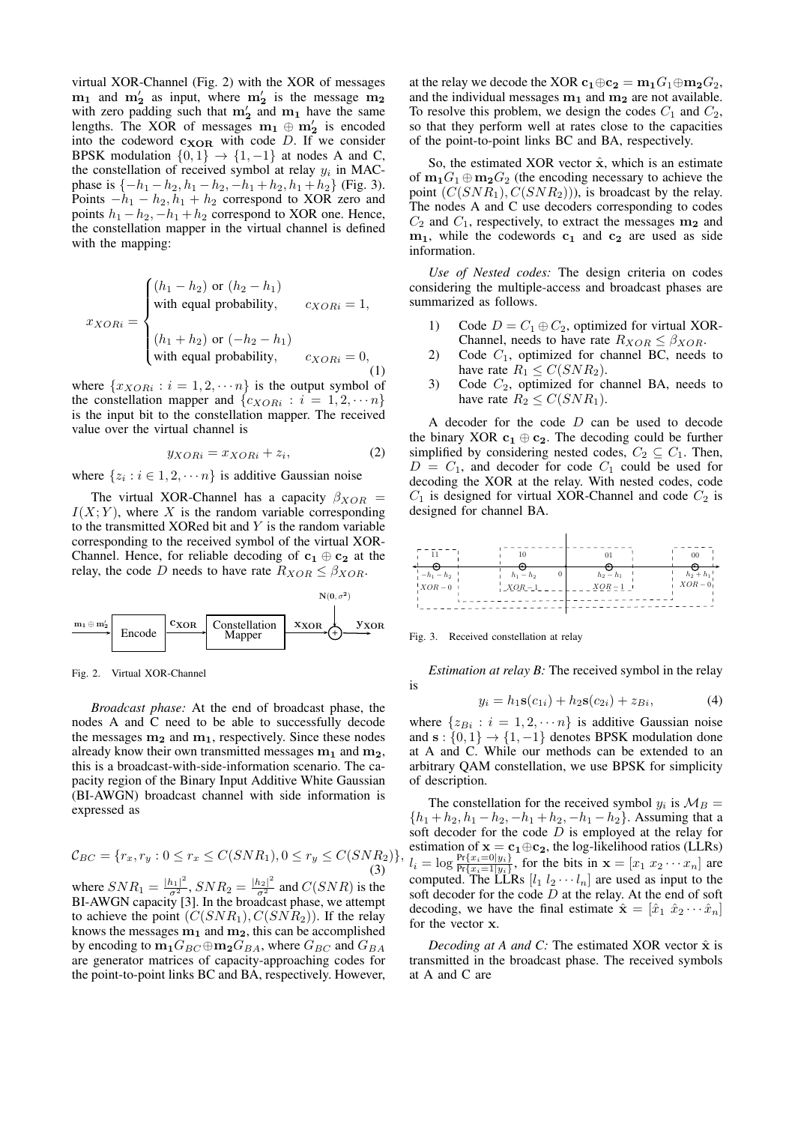virtual XOR-Channel (Fig. 2) with the XOR of messages  $m_1$  and  $m'_2$  as input, where  $m'_2$  is the message  $m_2$ with zero padding such that  $m'_2$  and  $m_1$  have the same lengths. The XOR of messages  $m_1 \oplus m_2'$  is encoded into the codeword  $c_{XOR}$  with code D. If we consider BPSK modulation  $\{0, 1\} \rightarrow \{1, -1\}$  at nodes A and C, the constellation of received symbol at relay  $y_i$  in MACphase is  $\{-h_1 - h_2, h_1 - h_2, -h_1 + h_2, h_1 + h_2\}$  (Fig. 3). Points  $-h_1 - h_2$ ,  $h_1 + h_2$  correspond to XOR zero and points  $h_1 - h_2$ ,  $-h_1 + h_2$  correspond to XOR one. Hence, the constellation mapper in the virtual channel is defined with the mapping:

$$
x_{XORi} = \begin{cases} (h_1 - h_2) \text{ or } (h_2 - h_1) \\ \text{with equal probability, } & c_{XORi} = 1, \\ (h_1 + h_2) \text{ or } (-h_2 - h_1) \\ \text{with equal probability, } & c_{XORi} = 0, \\ (1) \end{cases}
$$

where  $\{x_{XORi} : i = 1, 2, \dots n\}$  is the output symbol of the constellation mapper and  $\{c_{XORi} : i = 1, 2, \dots n\}$ is the input bit to the constellation mapper. The received value over the virtual channel is

$$
y_{XORi} = x_{XORi} + z_i, \tag{2}
$$

where  $\{z_i : i \in 1, 2, \dots n\}$  is additive Gaussian noise

The virtual XOR-Channel has a capacity  $\beta_{XOR}$  =  $I(X; Y)$ , where X is the random variable corresponding to the transmitted XORed bit and  $Y$  is the random variable corresponding to the received symbol of the virtual XOR-Channel. Hence, for reliable decoding of  $c_1 \oplus c_2$  at the relay, the code D needs to have rate  $R_{XOR} \leq \beta_{XOR}$ .



Fig. 2. Virtual XOR-Channel

*Broadcast phase:* At the end of broadcast phase, the nodes A and C need to be able to successfully decode the messages  $m_2$  and  $m_1$ , respectively. Since these nodes already know their own transmitted messages  $m_1$  and  $m_2$ , this is a broadcast-with-side-information scenario. The capacity region of the Binary Input Additive White Gaussian (BI-AWGN) broadcast channel with side information is expressed as

$$
\mathcal{C}_{BC} = \{r_x, r_y : 0 \le r_x \le C(SNR_1), 0 \le r_y \le C(SNR_2)\},\tag{3}
$$

where  $SNR_1 = \frac{|h_1|^2}{\sigma^2}$ ,  $SNR_2 = \frac{|h_2|^2}{\sigma^2}$  and  $C(SNR)$  is the BI-AWGN capacity [3]. In the broadcast phase, we attempt to achieve the point  $(C(SNR_1), C(SNR_2))$ . If the relay knows the messages  $m_1$  and  $m_2$ , this can be accomplished by encoding to  $m_1G_{BC} \oplus m_2G_{BA}$ , where  $G_{BC}$  and  $G_{BA}$ are generator matrices of capacity-approaching codes for the point-to-point links BC and BA, respectively. However, at the relay we decode the XOR  $c_1 \oplus c_2 = m_1 G_1 \oplus m_2 G_2$ , and the individual messages  $m_1$  and  $m_2$  are not available. To resolve this problem, we design the codes  $C_1$  and  $C_2$ , so that they perform well at rates close to the capacities of the point-to-point links BC and BA, respectively.

So, the estimated XOR vector  $\hat{\mathbf{x}}$ , which is an estimate of  $m_1G_1 \oplus m_2G_2$  (the encoding necessary to achieve the point  $(C(SNR_1), C(SNR_2))$ , is broadcast by the relay. The nodes A and C use decoders corresponding to codes  $C_2$  and  $C_1$ , respectively, to extract the messages  $m_2$  and  $m_1$ , while the codewords  $c_1$  and  $c_2$  are used as side information.

*Use of Nested codes:* The design criteria on codes considering the multiple-access and broadcast phases are summarized as follows.

- 1) Code  $D = C_1 \oplus C_2$ , optimized for virtual XOR-Channel, needs to have rate  $R_{XOR} \leq \beta_{XOR}$ .
- 2) Code  $C_1$ , optimized for channel BC, needs to have rate  $R_1 \leq C(SNR_2)$ .
- 3) Code  $C_2$ , optimized for channel BA, needs to have rate  $R_2 \leq C(SNR_1)$ .

A decoder for the code  $D$  can be used to decode the binary XOR  $c_1 \oplus c_2$ . The decoding could be further simplified by considering nested codes,  $C_2 \subseteq C_1$ . Then,  $D = C_1$ , and decoder for code  $C_1$  could be used for decoding the XOR at the relay. With nested codes, code  $C_1$  is designed for virtual XOR-Channel and code  $C_2$  is designed for channel BA.



Fig. 3. Received constellation at relay

*Estimation at relay B:* The received symbol in the relay is

$$
y_i = h_1 \mathbf{s}(c_{1i}) + h_2 \mathbf{s}(c_{2i}) + z_{Bi}, \tag{4}
$$

where  $\{z_{Bi} : i = 1, 2, \dots n\}$  is additive Gaussian noise and  $s: \{0,1\} \rightarrow \{1,-1\}$  denotes BPSK modulation done at A and C. While our methods can be extended to an arbitrary QAM constellation, we use BPSK for simplicity of description.

The constellation for the received symbol  $y_i$  is  $\mathcal{M}_B =$  ${h_1 + h_2, h_1 - h_2, -h_1 + h_2, -h_1 - h_2}.$  Assuming that a soft decoder for the code  $D$  is employed at the relay for estimation of  $x = c_1 \oplus c_2$ , the log-likelihood ratios (LLRs)  $l_i = \log \frac{\Pr\{x_i = 0 | y_i\}}{\Pr\{x_i = 1 | y_i\}},$  for the bits in  $\mathbf{x} = [x_1 \ x_2 \ \cdots \ x_n]$  are computed. The LLRs  $[l_1 \, l_2 \cdots l_n]$  are used as input to the soft decoder for the code  $D$  at the relay. At the end of soft decoding, we have the final estimate  $\hat{\mathbf{x}} = [\hat{x}_1 \ \hat{x}_2 \cdots \hat{x}_n]$ for the vector x.

*Decoding at A and C:* The estimated XOR vector  $\hat{x}$  is transmitted in the broadcast phase. The received symbols at A and C are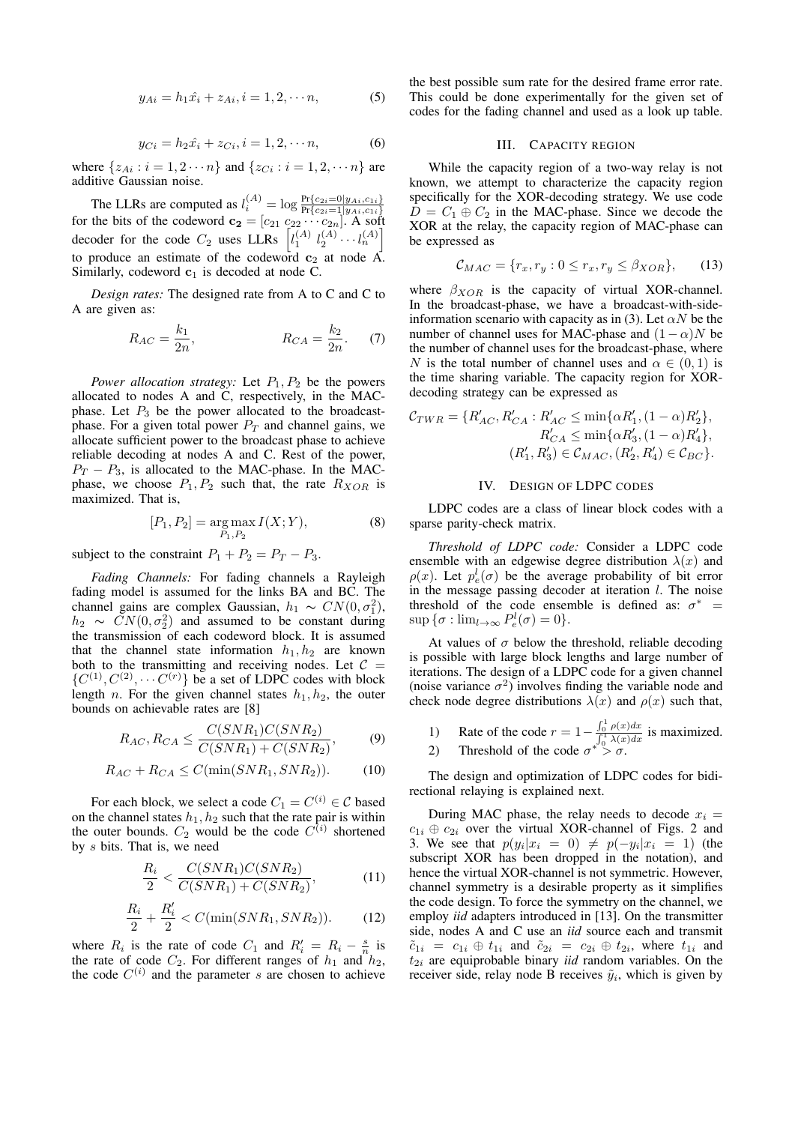$$
y_{Ai} = h_1 \hat{x}_i + z_{Ai}, i = 1, 2, \cdots n,
$$
 (5)

$$
y_{Ci} = h_2 \hat{x}_i + z_{Ci}, i = 1, 2, \cdots n,
$$
 (6)

where  $\{z_{Ai} : i = 1, 2 \cdots n\}$  and  $\{z_{Ci} : i = 1, 2, \cdots n\}$  are additive Gaussian noise.

The LLRs are computed as  $l_i^{(A)} = \log \frac{\Pr\{c_{2i}=0|y_{Ai},c_{1i}\}}{\Pr\{c_{2i}=1|y_{Ai},c_{1i}\}}$  for the bits of the codeword  $\mathbf{c_2} = [c_{21} \ c_{22} \ \cdots \ c_{2n}]$ . A soft decoder for the code  $C_2$  uses LLRs  $\left[ l_1^{(A)} l_2^{(A)} \cdots l_n^{(A)} \right]$ to produce an estimate of the codeword  $c_2$  at node A. Similarly, codeword  $c_1$  is decoded at node C.

*Design rates:* The designed rate from A to C and C to A are given as:

$$
R_{AC} = \frac{k_1}{2n}, \t R_{CA} = \frac{k_2}{2n}.
$$
 (7)

*Power allocation strategy:* Let  $P_1, P_2$  be the powers allocated to nodes A and C, respectively, in the MACphase. Let  $P_3$  be the power allocated to the broadcastphase. For a given total power  $P_T$  and channel gains, we allocate sufficient power to the broadcast phase to achieve reliable decoding at nodes A and C. Rest of the power,  $P_T - P_3$ , is allocated to the MAC-phase. In the MACphase, we choose  $P_1, P_2$  such that, the rate  $R_{XOR}$  is maximized. That is,

$$
[P_1, P_2] = \underset{P_1, P_2}{\text{arg}\max} I(X; Y), \tag{8}
$$

subject to the constraint  $P_1 + P_2 = P_T - P_3$ .

*Fading Channels:* For fading channels a Rayleigh fading model is assumed for the links BA and BC. The channel gains are complex Gaussian,  $h_1 \sim CN(0, \sigma_1^2)$ ,  $h_2 \sim \tilde{CN}(0, \sigma_2^2)$  and assumed to be constant during the transmission of each codeword block. It is assumed that the channel state information  $h_1, h_2$  are known both to the transmitting and receiving nodes. Let  $C =$  $\{C^{(1)}, C^{(2)}, \cdots C^{(r)}\}$  be a set of LDPC codes with block length *n*. For the given channel states  $h_1, h_2$ , the outer bounds on achievable rates are [8]

$$
R_{AC}, R_{CA} \le \frac{C(SNR_1)C(SNR_2)}{C(SNR_1) + C(SNR_2)},
$$
 (9)

$$
R_{AC} + R_{CA} \le C(\min(SNR_1, SNR_2)).\tag{10}
$$

For each block, we select a code  $C_1 = C^{(i)} \in \mathcal{C}$  based on the channel states  $h_1, h_2$  such that the rate pair is within the outer bounds.  $C_2$  would be the code  $C^{(i)}$  shortened by s bits. That is, we need

$$
\frac{R_i}{2} < \frac{C(SNR_1)C(SNR_2)}{C(SNR_1) + C(SNR_2)},\tag{11}
$$

$$
\frac{R_i}{2} + \frac{R'_i}{2} < C(\min(SNR_1, SNR_2)).\tag{12}
$$

where  $R_i$  is the rate of code  $C_1$  and  $R'_i = R_i - \frac{s}{n}$  is the rate of code  $C_2$ . For different ranges of  $h_1$  and  $h_2$ , the code  $C^{(i)}$  and the parameter s are chosen to achieve the best possible sum rate for the desired frame error rate. This could be done experimentally for the given set of codes for the fading channel and used as a look up table.

## III. CAPACITY REGION

While the capacity region of a two-way relay is not known, we attempt to characterize the capacity region specifically for the XOR-decoding strategy. We use code  $D = C_1 \oplus C_2$  in the MAC-phase. Since we decode the XOR at the relay, the capacity region of MAC-phase can be expressed as

$$
\mathcal{C}_{MAC} = \{r_x, r_y : 0 \le r_x, r_y \le \beta_{XOR}\},\qquad(13)
$$

where  $\beta_{XOR}$  is the capacity of virtual XOR-channel. In the broadcast-phase, we have a broadcast-with-sideinformation scenario with capacity as in (3). Let  $\alpha N$  be the number of channel uses for MAC-phase and  $(1 - \alpha)N$  be the number of channel uses for the broadcast-phase, where N is the total number of channel uses and  $\alpha \in (0,1)$  is the time sharing variable. The capacity region for XORdecoding strategy can be expressed as

$$
\mathcal{C}_{TWR} = \{R'_{AC}, R'_{CA} : R'_{AC} \le \min\{\alpha R'_1, (1-\alpha)R'_2\},
$$
  
\n
$$
R'_{CA} \le \min\{\alpha R'_3, (1-\alpha)R'_4\},
$$
  
\n
$$
(R'_1, R'_3) \in \mathcal{C}_{MAC}, (R'_2, R'_4) \in \mathcal{C}_{BC}\}.
$$

#### IV. DESIGN OF LDPC CODES

LDPC codes are a class of linear block codes with a sparse parity-check matrix.

*Threshold of LDPC code:* Consider a LDPC code ensemble with an edgewise degree distribution  $\lambda(x)$  and  $\rho(x)$ . Let  $p_e^l(\sigma)$  be the average probability of bit error in the message passing decoder at iteration  $l$ . The noise threshold of the code ensemble is defined as:  $\sigma^*$  =  $\sup \{\sigma : \lim_{l \to \infty} P_e^l(\sigma) = 0\}.$ 

At values of  $\sigma$  below the threshold, reliable decoding is possible with large block lengths and large number of iterations. The design of a LDPC code for a given channel (noise variance  $\sigma^2$ ) involves finding the variable node and check node degree distributions  $\lambda(x)$  and  $\rho(x)$  such that,

- 1) Rate of the code  $r = 1 \frac{\int_0^1 \rho(x) dx}{\int_0^1 \lambda(x) dx}$  is maximized.
- 2) Threshold of the code  $\sigma^* > \sigma$ .

The design and optimization of LDPC codes for bidirectional relaying is explained next.

During MAC phase, the relay needs to decode  $x_i =$  $c_{1i} \oplus c_{2i}$  over the virtual XOR-channel of Figs. 2 and 3. We see that  $p(y_i|x_i = 0) \neq p(-y_i|x_i = 1)$  (the subscript XOR has been dropped in the notation), and hence the virtual XOR-channel is not symmetric. However, channel symmetry is a desirable property as it simplifies the code design. To force the symmetry on the channel, we employ *iid* adapters introduced in [13]. On the transmitter side, nodes A and C use an *iid* source each and transmit  $\tilde{c}_{1i} = c_{1i} \oplus t_{1i}$  and  $\tilde{c}_{2i} = c_{2i} \oplus t_{2i}$ , where  $t_{1i}$  and  $t_{2i}$  are equiprobable binary *iid* random variables. On the receiver side, relay node B receives  $\tilde{y}_i$ , which is given by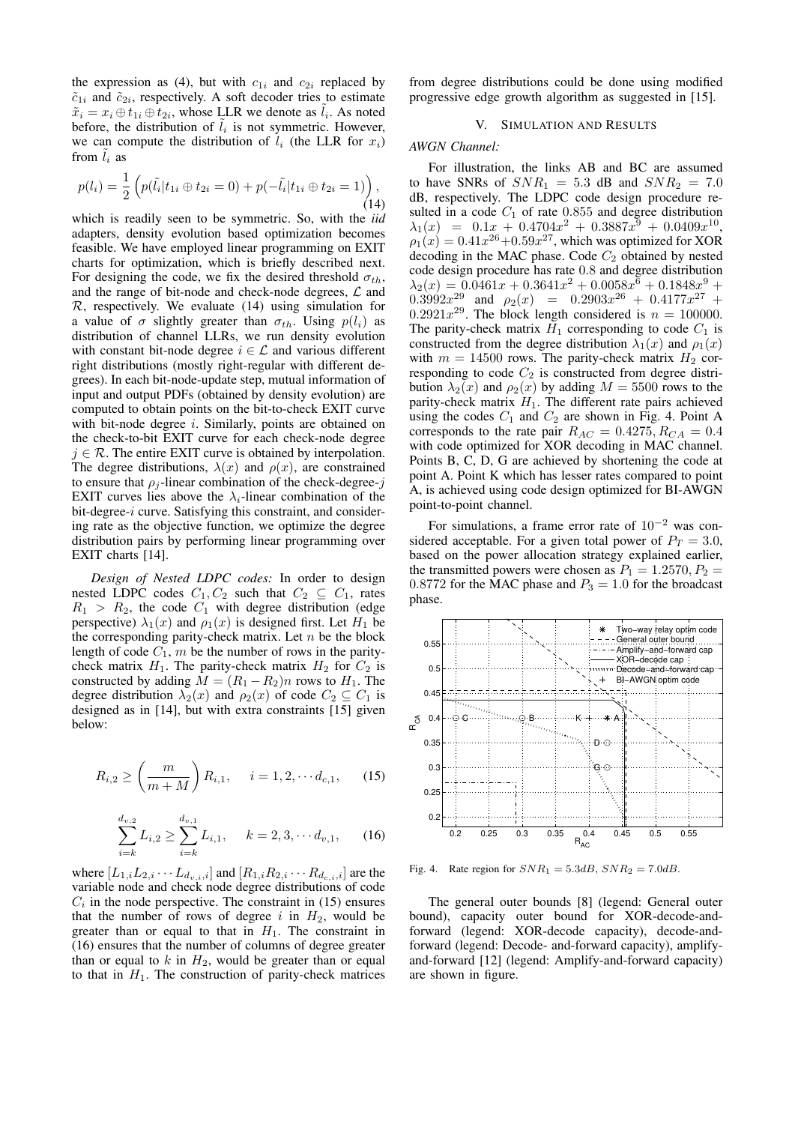the expression as (4), but with  $c_{1i}$  and  $c_{2i}$  replaced by  $\tilde{c}_{1i}$  and  $\tilde{c}_{2i}$ , respectively. A soft decoder tries to estimate  $\tilde{x}_i = x_i \oplus t_{1i} \oplus t_{2i}$ , whose LLR we denote as  $\tilde{l}_i$ . As noted before, the distribution of  $\tilde{l}_i$  is not symmetric. However, we can compute the distribution of  $l_i$  (the LLR for  $x_i$ ) from  $\tilde{l}_i$  as

$$
p(l_i) = \frac{1}{2} \left( p(\tilde{l}_i | t_{1i} \oplus t_{2i} = 0) + p(-\tilde{l}_i | t_{1i} \oplus t_{2i} = 1) \right), \tag{14}
$$

which is readily seen to be symmetric. So, with the *iid* adapters, density evolution based optimization becomes feasible. We have employed linear programming on EXIT charts for optimization, which is briefly described next. For designing the code, we fix the desired threshold  $\sigma_{th}$ , and the range of bit-node and check-node degrees,  $\mathcal L$  and  $\mathcal{R}$ , respectively. We evaluate (14) using simulation for a value of  $\sigma$  slightly greater than  $\sigma_{th}$ . Using  $p(l_i)$  as distribution of channel LLRs, we run density evolution with constant bit-node degree  $i \in \mathcal{L}$  and various different right distributions (mostly right-regular with different degrees). In each bit-node-update step, mutual information of input and output PDFs (obtained by density evolution) are computed to obtain points on the bit-to-check EXIT curve with bit-node degree *i*. Similarly, points are obtained on the check-to-bit EXIT curve for each check-node degree  $j \in \mathcal{R}$ . The entire EXIT curve is obtained by interpolation. The degree distributions,  $\lambda(x)$  and  $\rho(x)$ , are constrained to ensure that  $\rho_i$ -linear combination of the check-degree-j EXIT curves lies above the  $\lambda_i$ -linear combination of the bit-degree-i curve. Satisfying this constraint, and considering rate as the objective function, we optimize the degree distribution pairs by performing linear programming over EXIT charts [14].

*Design of Nested LDPC codes:* In order to design nested LDPC codes  $C_1, C_2$  such that  $C_2 \subseteq C_1$ , rates  $R_1 > R_2$ , the code  $C_1$  with degree distribution (edge perspective)  $\lambda_1(x)$  and  $\rho_1(x)$  is designed first. Let  $H_1$  be the corresponding parity-check matrix. Let  $n$  be the block length of code  $C_1$ , m be the number of rows in the paritycheck matrix  $H_1$ . The parity-check matrix  $H_2$  for  $C_2$  is constructed by adding  $M = (R_1 - R_2)n$  rows to  $H_1$ . The degree distribution  $\lambda_2(x)$  and  $\rho_2(x)$  of code  $C_2 \subseteq C_1$  is designed as in [14], but with extra constraints [15] given below:

$$
R_{i,2} \ge \left(\frac{m}{m+M}\right) R_{i,1}, \quad i = 1, 2, \cdots d_{c,1}, \quad (15)
$$

$$
\sum_{i=k}^{d_{v,2}} L_{i,2} \ge \sum_{i=k}^{d_{v,1}} L_{i,1}, \quad k = 2, 3, \cdots d_{v,1}, \quad (16)
$$

where  $[L_{1,i}L_{2,i}\cdots L_{d_{v,i},i}]$  and  $[R_{1,i}R_{2,i}\cdots R_{d_{c,i},i}]$  are the variable node and check node degree distributions of code  $C_i$  in the node perspective. The constraint in (15) ensures that the number of rows of degree i in  $H_2$ , would be greater than or equal to that in  $H_1$ . The constraint in (16) ensures that the number of columns of degree greater than or equal to  $k$  in  $H_2$ , would be greater than or equal to that in  $H_1$ . The construction of parity-check matrices

from degree distributions could be done using modified progressive edge growth algorithm as suggested in [15].

# V. SIMULATION AND RESULTS

# *AWGN Channel:*

For illustration, the links AB and BC are assumed to have SNRs of  $SNR_1 = 5.3$  dB and  $SNR_2 = 7.0$ dB, respectively. The LDPC code design procedure resulted in a code  $C_1$  of rate 0.855 and degree distribution  $\lambda_1(x) = 0.1x + 0.4704x^2 + 0.3887x^9 + 0.0409x^{10}$  $\rho_1(x) = 0.41x^{26} + 0.59x^{27}$ , which was optimized for XOR decoding in the MAC phase. Code  $C_2$  obtained by nested code design procedure has rate 0.8 and degree distribution  $\lambda_2(x) = 0.0461x + 0.3641x^2 + 0.0058x^6 + 0.1848x^9$  $0.3992x^{29}$  and  $\rho_2(x) = 0.2903x^{26} + 0.4177x^{27} +$ 0.2921 $x^{29}$ . The block length considered is  $n = 100000$ . The parity-check matrix  $H_1$  corresponding to code  $C_1$  is constructed from the degree distribution  $\lambda_1(x)$  and  $\rho_1(x)$ with  $m = 14500$  rows. The parity-check matrix  $H_2$  corresponding to code  $C_2$  is constructed from degree distribution  $\lambda_2(x)$  and  $\rho_2(x)$  by adding  $M = 5500$  rows to the parity-check matrix  $H_1$ . The different rate pairs achieved using the codes  $C_1$  and  $C_2$  are shown in Fig. 4. Point A corresponds to the rate pair  $R_{AC} = 0.4275, R_{CA} = 0.4$ with code optimized for XOR decoding in MAC channel. Points B, C, D, G are achieved by shortening the code at point A. Point K which has lesser rates compared to point A, is achieved using code design optimized for BI-AWGN point-to-point channel.

For simulations, a frame error rate of  $10^{-2}$  was considered acceptable. For a given total power of  $P_T = 3.0$ , based on the power allocation strategy explained earlier, the transmitted powers were chosen as  $P_1 = 1.2570, P_2 =$ 0.8772 for the MAC phase and  $P_3 = 1.0$  for the broadcast phase.



Fig. 4. Rate region for  $SNR_1 = 5.3dB$ ,  $SNR_2 = 7.0dB$ .

The general outer bounds [8] (legend: General outer bound), capacity outer bound for XOR-decode-andforward (legend: XOR-decode capacity), decode-andforward (legend: Decode- and-forward capacity), amplifyand-forward [12] (legend: Amplify-and-forward capacity) are shown in figure.